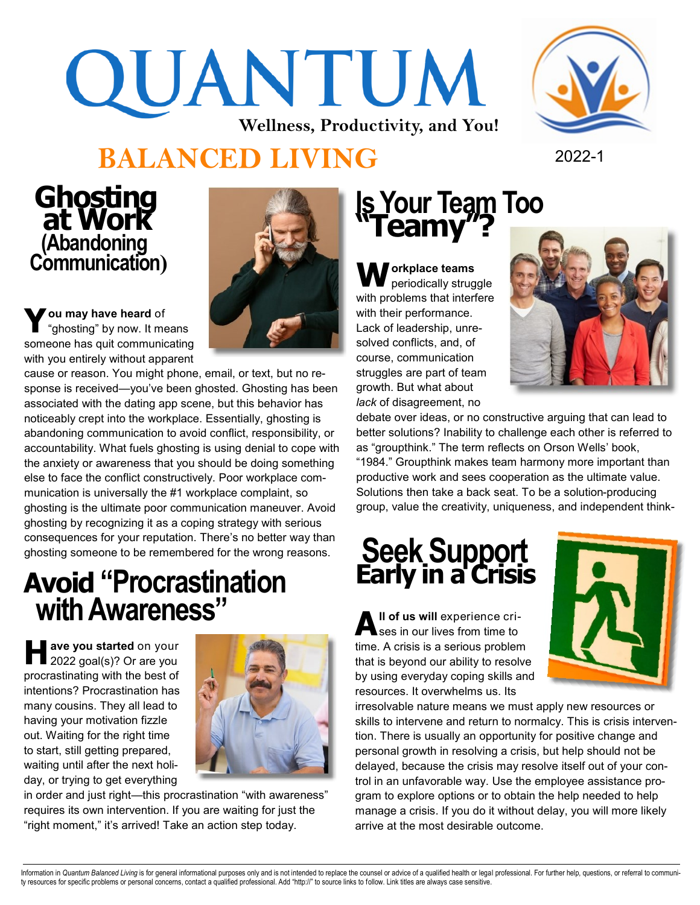# QUANTUM **Wellness, Productivity, and You!**

# **BALANCED LIVING** 2022-1

 **Ghosting at Work (Abandoning Communication)**

**Y ou may have heard** of "ghosting" by now. It means someone has quit communicating with you entirely without apparent

cause or reason. You might phone, email, or text, but no response is received—you've been ghosted. Ghosting has been associated with the dating app scene, but this behavior has noticeably crept into the workplace. Essentially, ghosting is abandoning communication to avoid conflict, responsibility, or accountability. What fuels ghosting is using denial to cope with the anxiety or awareness that you should be doing something else to face the conflict constructively. Poor workplace communication is universally the #1 workplace complaint, so ghosting is the ultimate poor communication maneuver. Avoid ghosting by recognizing it as a coping strategy with serious consequences for your reputation. There's no better way than ghosting someone to be remembered for the wrong reasons.

# **Avoid "Procrastination with Awareness"**

**H ave you started** on your 2022 goal(s)? Or are you procrastinating with the best of intentions? Procrastination has many cousins. They all lead to having your motivation fizzle out. Waiting for the right time to start, still getting prepared, waiting until after the next holiday, or trying to get everything



in order and just right—this procrastination "with awareness" requires its own intervention. If you are waiting for just the "right moment," it's arrived! Take an action step today.



**Workplace teams**  periodically struggle with problems that interfere with their performance. Lack of leadership, unresolved conflicts, and, of course, communication struggles are part of team growth. But what about *lack* of disagreement, no



debate over ideas, or no constructive arguing that can lead to better solutions? Inability to challenge each other is referred to as "groupthink." The term reflects on Orson Wells' book, "1984." Groupthink makes team harmony more important than productive work and sees cooperation as the ultimate value. Solutions then take a back seat. To be a solution-producing group, value the creativity, uniqueness, and independent think-

# **Seek Support Early in a Crisis**

**A ll of us will** experience crises in our lives from time to time. A crisis is a serious problem that is beyond our ability to resolve by using everyday coping skills and resources. It overwhelms us. Its



irresolvable nature means we must apply new resources or skills to intervene and return to normalcy. This is crisis intervention. There is usually an opportunity for positive change and personal growth in resolving a crisis, but help should not be delayed, because the crisis may resolve itself out of your control in an unfavorable way. Use the employee assistance program to explore options or to obtain the help needed to help manage a crisis. If you do it without delay, you will more likely arrive at the most desirable outcome.